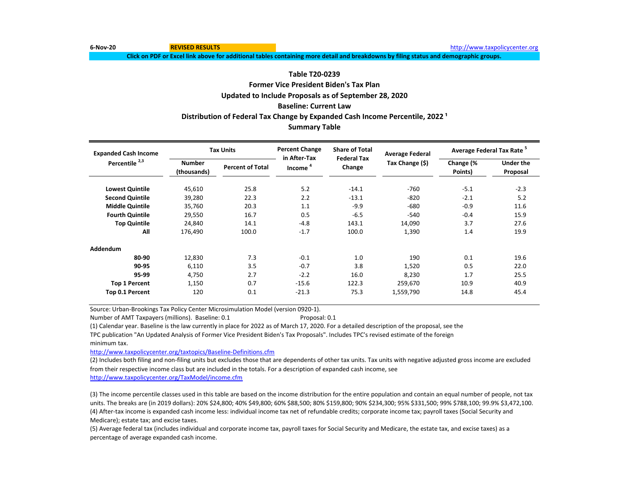**6-Nov-20 REVISED RESULTS** [http://www.t](http://www.taxpolicycenter.org/)axpolicycenter.org

**Click on PDF or Excel link above for additional tables containing more detail and breakdowns by filing status and demographic groups.**

# **Table T20-0239**

# **Former Vice President Biden's Tax Plan Updated to Include Proposals as of September 28, 2020 Baseline: Current Law Summary Table Distribution of Federal Tax Change by Expanded Cash Income Percentile, 2022<sup>1</sup>**

| <b>Expanded Cash Income</b> |                              | <b>Tax Units</b>        | <b>Percent Change</b><br>in After-Tax | <b>Share of Total</b><br><b>Federal Tax</b> | <b>Average Federal</b> | Average Federal Tax Rate <sup>5</sup> |                              |  |
|-----------------------------|------------------------------|-------------------------|---------------------------------------|---------------------------------------------|------------------------|---------------------------------------|------------------------------|--|
| Percentile <sup>2,3</sup>   | <b>Number</b><br>(thousands) | <b>Percent of Total</b> | Income <sup>4</sup>                   | Change                                      | Tax Change (\$)        | Change (%<br>Points)                  | <b>Under the</b><br>Proposal |  |
| <b>Lowest Quintile</b>      | 45,610                       | 25.8                    | 5.2                                   | $-14.1$                                     | $-760$                 | $-5.1$                                | $-2.3$                       |  |
| <b>Second Quintile</b>      | 39,280                       | 22.3                    | 2.2                                   | $-13.1$                                     | $-820$                 | $-2.1$                                | 5.2                          |  |
| <b>Middle Quintile</b>      | 35,760                       | 20.3                    | 1.1                                   | $-9.9$                                      | $-680$                 | $-0.9$                                | 11.6                         |  |
| <b>Fourth Quintile</b>      | 29,550                       | 16.7                    | 0.5                                   | $-6.5$                                      | $-540$                 | $-0.4$                                | 15.9                         |  |
| <b>Top Quintile</b>         | 24,840                       | 14.1                    | $-4.8$                                | 143.1                                       | 14,090                 | 3.7                                   | 27.6                         |  |
| All                         | 176,490                      | 100.0                   | $-1.7$                                | 100.0                                       | 1,390                  | 1.4                                   | 19.9                         |  |
| Addendum                    |                              |                         |                                       |                                             |                        |                                       |                              |  |
| 80-90                       | 12,830                       | 7.3                     | $-0.1$                                | 1.0                                         | 190                    | 0.1                                   | 19.6                         |  |
| 90-95                       | 6,110                        | 3.5                     | $-0.7$                                | 3.8                                         | 1,520                  | 0.5                                   | 22.0                         |  |
| 95-99                       | 4,750                        | 2.7                     | $-2.2$                                | 16.0                                        | 8,230                  | 1.7                                   | 25.5                         |  |
| <b>Top 1 Percent</b>        | 1,150                        | 0.7                     | $-15.6$                               | 122.3                                       | 259,670                | 10.9                                  | 40.9                         |  |
| Top 0.1 Percent             | 120                          | 0.1                     | $-21.3$                               | 75.3                                        | 1,559,790              | 14.8                                  | 45.4                         |  |

Source: Urban-Brookings Tax Policy Center Microsimulation Model (version 0920-1).

Number of AMT Taxpayers (millions). Baseline: 0.1 Proposal: 0.1

(1) Calendar year. Baseline is the law currently in place for 2022 as of March 17, 2020. For a detailed description of the proposal, see the TPC publication "An Updated Analysis of Former Vice President Biden's Tax Proposals". Includes TPC's revised estimate of the foreign

minimum tax.

[http://www.taxpolicycente](http://www.taxpolicycenter.org/taxtopics/Baseline-Definitions.cfm)r.org/taxtopics/Baseline-Definitions.cfm

(2) Includes both filing and non-filing units but excludes those that are dependents of other tax units. Tax units with negative adjusted gross income are excluded from their respective income class but are included in the totals. For a description of expanded cash income, see [http://www.taxpolicycente](http://www.taxpolicycenter.org/TaxModel/income.cfm)r.org/TaxModel/income.cfm

(3) The income percentile classes used in this table are based on the income distribution for the entire population and contain an equal number of people, not tax units. The breaks are (in 2019 dollars): 20% \$24,800; 40% \$49,800; 60% \$88,500; 80% \$159,800; 90% \$234,300; 95% \$331,500; 99% \$788,100; 99.9% \$3,472,100. (4) After-tax income is expanded cash income less: individual income tax net of refundable credits; corporate income tax; payroll taxes (Social Security and Medicare); estate tax; and excise taxes.

(5) Average federal tax (includes individual and corporate income tax, payroll taxes for Social Security and Medicare, the estate tax, and excise taxes) as a percentage of average expanded cash income.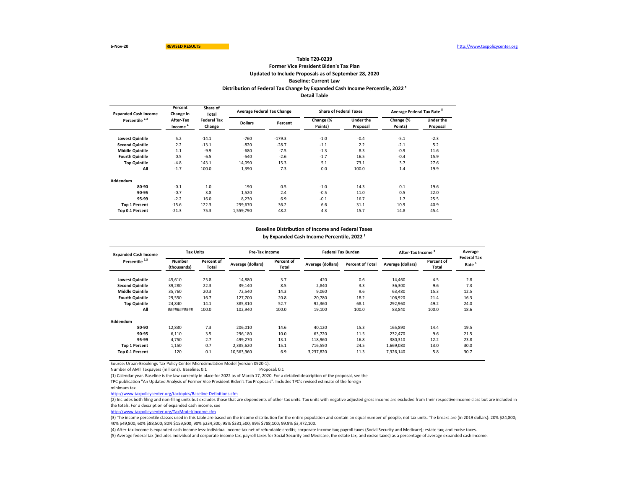# **Former Vice President Biden's Tax Plan Updated to Include Proposals as of September 28, 2020 Baseline: Current Law Table T20-0239** Distribution of Federal Tax Change by Expanded Cash Income Percentile, 2022<sup>1</sup> **Detail Table**

| <b>Expanded Cash Income</b> | Percent<br>Change in             | Share of<br>Total            |                | <b>Average Federal Tax Change</b> |                      | <b>Share of Federal Taxes</b> | Average Federal Tax Rate <sup>5</sup> |                              |
|-----------------------------|----------------------------------|------------------------------|----------------|-----------------------------------|----------------------|-------------------------------|---------------------------------------|------------------------------|
| Percentile <sup>2,3</sup>   | After-Tax<br>Income <sup>4</sup> | <b>Federal Tax</b><br>Change | <b>Dollars</b> | Percent                           | Change (%<br>Points) | <b>Under the</b><br>Proposal  | Change (%<br>Points)                  | <b>Under the</b><br>Proposal |
| <b>Lowest Quintile</b>      | 5.2                              | $-14.1$                      | $-760$         | $-179.3$                          | $-1.0$               | $-0.4$                        | $-5.1$                                | $-2.3$                       |
| <b>Second Quintile</b>      | 2.2                              | $-13.1$                      | $-820$         | $-28.7$                           | $-1.1$               | 2.2                           | $-2.1$                                | 5.2                          |
| <b>Middle Quintile</b>      | 1.1                              | $-9.9$                       | $-680$         | $-7.5$                            | $-1.3$               | 8.3                           | $-0.9$                                | 11.6                         |
| <b>Fourth Quintile</b>      | 0.5                              | $-6.5$                       | $-540$         | $-2.6$                            | $-1.7$               | 16.5                          | $-0.4$                                | 15.9                         |
| <b>Top Quintile</b>         | $-4.8$                           | 143.1                        | 14.090         | 15.3                              | 5.1                  | 73.1                          | 3.7                                   | 27.6                         |
| All                         | $-1.7$                           | 100.0                        | 1,390          | 7.3                               | 0.0                  | 100.0                         | 1.4                                   | 19.9                         |
| Addendum                    |                                  |                              |                |                                   |                      |                               |                                       |                              |
| 80-90                       | $-0.1$                           | 1.0                          | 190            | 0.5                               | $-1.0$               | 14.3                          | 0.1                                   | 19.6                         |
| 90-95                       | $-0.7$                           | 3.8                          | 1,520          | 2.4                               | $-0.5$               | 11.0                          | 0.5                                   | 22.0                         |
| 95-99                       | $-2.2$                           | 16.0                         | 8,230          | 6.9                               | $-0.1$               | 16.7                          | 1.7                                   | 25.5                         |
| <b>Top 1 Percent</b>        | $-15.6$                          | 122.3                        | 259,670        | 36.2                              | 6.6                  | 31.1                          | 10.9                                  | 40.9                         |
| Top 0.1 Percent             | $-21.3$                          | 75.3                         | 1,559,790      | 48.2                              | 4.3                  | 15.7                          | 14.8                                  | 45.4                         |

#### **Baseline Distribution of Income and Federal Taxes**

by Expanded Cash Income Percentile, 2022<sup>1</sup>

| <b>Expanded Cash Income</b> | <b>Tax Units</b>             |                     | Pre-Tax Income    |                     |                   | <b>Federal Tax Burden</b> |                   | After-Tax Income    | Average<br><b>Federal Tax</b> |
|-----------------------------|------------------------------|---------------------|-------------------|---------------------|-------------------|---------------------------|-------------------|---------------------|-------------------------------|
| Percentile <sup>2,3</sup>   | <b>Number</b><br>(thousands) | Percent of<br>Total | Average (dollars) | Percent of<br>Total | Average (dollars) | <b>Percent of Total</b>   | Average (dollars) | Percent of<br>Total | Rate <sup>5</sup>             |
| <b>Lowest Quintile</b>      | 45,610                       | 25.8                | 14,880            | 3.7                 | 420               | 0.6                       | 14,460            | 4.5                 | 2.8                           |
| <b>Second Quintile</b>      | 39,280                       | 22.3                | 39,140            | 8.5                 | 2.840             | 3.3                       | 36,300            | 9.6                 | 7.3                           |
| <b>Middle Quintile</b>      | 35,760                       | 20.3                | 72,540            | 14.3                | 9.060             | 9.6                       | 63,480            | 15.3                | 12.5                          |
| <b>Fourth Quintile</b>      | 29,550                       | 16.7                | 127.700           | 20.8                | 20.780            | 18.2                      | 106,920           | 21.4                | 16.3                          |
| <b>Top Quintile</b>         | 24,840                       | 14.1                | 385,310           | 52.7                | 92,360            | 68.1                      | 292,960           | 49.2                | 24.0                          |
| All                         | ###########                  | 100.0               | 102,940           | 100.0               | 19,100            | 100.0                     | 83,840            | 100.0               | 18.6                          |
| Addendum                    |                              |                     |                   |                     |                   |                           |                   |                     |                               |
| 80-90                       | 12,830                       | 7.3                 | 206,010           | 14.6                | 40,120            | 15.3                      | 165,890           | 14.4                | 19.5                          |
| 90-95                       | 6,110                        | 3.5                 | 296,180           | 10.0                | 63,720            | 11.5                      | 232,470           | 9.6                 | 21.5                          |
| 95-99                       | 4,750                        | 2.7                 | 499,270           | 13.1                | 118,960           | 16.8                      | 380,310           | 12.2                | 23.8                          |
| <b>Top 1 Percent</b>        | 1,150                        | 0.7                 | 2,385,620         | 15.1                | 716,550           | 24.5                      | 1,669,080         | 13.0                | 30.0                          |
| Top 0.1 Percent             | 120                          | 0.1                 | 10,563,960        | 6.9                 | 3.237.820         | 11.3                      | 7.326.140         | 5.8                 | 30.7                          |

Source: Urban-Brookings Tax Policy Center Microsimulation Model (version 0920-1).

Number of AMT Taxpayers (millions). Baseline: 0.1 Proposal: 0.1

(1) Calendar year. Baseline is the law currently in place for 2022 as of March 17, 2020. For a detailed description of the proposal, see the

TPC publication "An Updated Analysis of Former Vice President Biden's Tax Proposals". Includes TPC's revised estimate of the foreign

minimum tax.

<http://www.taxpolicycenter.org/taxtopics/Baseline-Definitions.cfm>

(2) Includes both filing and non-filing units but excludes those that are dependents of other tax units. Tax units with negative adjusted gross income are excluded from their respective income class but are included in the totals. For a description of expanded cash income, see

[http://www.taxpolicycente](http://www.taxpolicycenter.org/TaxModel/income.cfm)r.org/TaxModel/income.cfm

(3) The income percentile classes used in this table are based on the income distribution for the entire population and contain an equal number of people, not tax units. The breaks are (in 2019 dollars): 20% \$24,800; 40% \$49,800; 60% \$88,500; 80% \$159,800; 90% \$234,300; 95% \$331,500; 99% \$788,100; 99.9% \$3,472,100.

(4) After-tax income is expanded cash income less: individual income tax net of refundable credits; corporate income tax; payroll taxes (Social Security and Medicare); estate tax; and excise taxes.

(5) Average federal tax (includes individual and corporate income tax, payroll taxes for Social Security and Medicare, the estate tax, and excise taxes) as a percentage of average expanded cash income.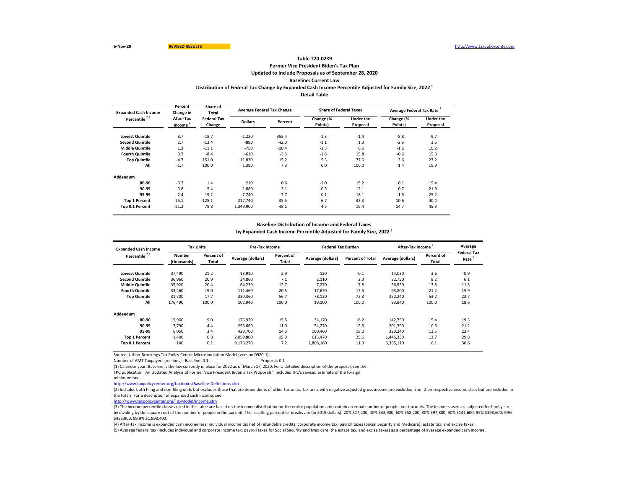### **Former Vice President Biden's Tax Plan Updated to Include Proposals as of September 28, 2020 Baseline: Current Law Table T20-0239** Distribution of Federal Tax Change by Expanded Cash Income Percentile Adjusted for Family Size, 2022<sup>1</sup> **Detail Table**

| <b>Expanded Cash Income</b> | Percent<br>Change in             | Share of<br>Total<br><b>Federal Tax</b><br>Change |                | <b>Average Federal Tax Change</b> | <b>Share of Federal Taxes</b> |                              | Average Federal Tax Rate <sup>5</sup> |                       |
|-----------------------------|----------------------------------|---------------------------------------------------|----------------|-----------------------------------|-------------------------------|------------------------------|---------------------------------------|-----------------------|
| Percentile <sup>2,3</sup>   | After-Tax<br>Income <sup>*</sup> |                                                   | <b>Dollars</b> | Percent                           | Change (%<br>Points)          | <b>Under the</b><br>Proposal | Change (%<br>Points)                  | Under the<br>Proposal |
| <b>Lowest Quintile</b>      | 8.7                              | $-18.7$                                           | $-1,220$       | 955.4                             | $-1.3$                        | $-1.4$                       | $-8.8$                                | $-9.7$                |
| <b>Second Quintile</b>      | 2.7                              | $-13.4$                                           | $-890$         | $-42.0$                           | $-1.1$                        | 1.3                          | $-2.5$                                | 3.5                   |
| <b>Middle Quintile</b>      | 1.3                              | $-11.1$                                           | $-750$         | $-10.4$                           | $-1.3$                        | 6.5                          | $-1.2$                                | 10.2                  |
| <b>Fourth Quintile</b>      | 0.7                              | $-8.4$                                            | $-610$         | $-3.5$                            | $-1.8$                        | 15.8                         | $-0.6$                                | 15.3                  |
| <b>Top Quintile</b>         | $-4.7$                           | 151.0                                             | 11,830         | 15.2                              | 5.3                           | 77.6                         | 3.6                                   | 27.2                  |
| All                         | $-1.7$                           | 100.0                                             | 1,390          | 7.3                               | 0.0                           | 100.0                        | 1.4                                   | 19.9                  |
| Addendum                    |                                  |                                                   |                |                                   |                               |                              |                                       |                       |
| 80-90                       | $-0.2$                           | 1.4                                               | 210            | 0.6                               | $-1.0$                        | 15.2                         | 0.1                                   | 19.4                  |
| 90-95                       | $-0.8$                           | 5.4                                               | 1.680          | 3.1                               | $-0.5$                        | 12.1                         | 0.7                                   | 21.9                  |
| 95-99                       | $-2.4$                           | 19.2                                              | 7.740          | 7.7                               | 0.1                           | 18.1                         | 1.8                                   | 25.2                  |
| <b>Top 1 Percent</b>        | $-15.1$                          | 125.1                                             | 217.740        | 35.5                              | 6.7                           | 32.3                         | 10.6                                  | 40.4                  |
| Top 0.1 Percent             | $-21.2$                          | 78.8                                              | 1,349,900      | 48.1                              | 4.5                           | 16.4                         | 14.7                                  | 45.3                  |

### **Baseline Distribution of Income and Federal Taxes** by Expanded Cash Income Percentile Adjusted for Family Size, 2022<sup>1</sup>

| <b>Expanded Cash Income</b> | <b>Tax Units</b>             |                     |                   | Pre-Tax Income      |                   | <b>Federal Tax Burden</b> | After-Tax Income  | Average                    |                            |
|-----------------------------|------------------------------|---------------------|-------------------|---------------------|-------------------|---------------------------|-------------------|----------------------------|----------------------------|
| Percentile <sup>2,3</sup>   | <b>Number</b><br>(thousands) | Percent of<br>Total | Average (dollars) | Percent of<br>Total | Average (dollars) | <b>Percent of Total</b>   | Average (dollars) | Percent of<br><b>Total</b> | <b>Federal Tax</b><br>Rate |
| <b>Lowest Quintile</b>      | 37,490                       | 21.2                | 13,910            | 2.9                 | $-130$            | $-0.1$                    | 14,030            | 3.6                        | $-0.9$                     |
| <b>Second Quintile</b>      | 36,960                       | 20.9                | 34,860            | 7.1                 | 2,110             | 2.3                       | 32,750            | 8.2                        | 6.1                        |
| <b>Middle Quintile</b>      | 35,920                       | 20.4                | 64,230            | 12.7                | 7.270             | 7.8                       | 56,950            | 13.8                       | 11.3                       |
| <b>Fourth Quintile</b>      | 33,460                       | 19.0                | 111,460           | 20.5                | 17.670            | 17.5                      | 93,800            | 21.2                       | 15.9                       |
| <b>Top Quintile</b>         | 31,200                       | 17.7                | 330,360           | 56.7                | 78,120            | 72.3                      | 252,240           | 53.2                       | 23.7                       |
| All                         | 176,490                      | 100.0               | 102,940           | 100.0               | 19,100            | 100.0                     | 83,840            | 100.0                      | 18.6                       |
| Addendum                    |                              |                     |                   |                     |                   |                           |                   |                            |                            |
| 80-90                       | 15,960                       | 9.0                 | 176,920           | 15.5                | 34,170            | 16.2                      | 142,750           | 15.4                       | 19.3                       |
| 90-95                       | 7,790                        | 4.4                 | 255,660           | 11.0                | 54,270            | 12.5                      | 201,390           | 10.6                       | 21.2                       |
| 95-99                       | 6.050                        | 3.4                 | 429.700           | 14.3                | 100,460           | 18.0                      | 329,240           | 13.5                       | 23.4                       |
| <b>Top 1 Percent</b>        | 1.400                        | 0.8                 | 2.059.800         | 15.9                | 613.470           | 25.6                      | 1,446,330         | 13.7                       | 29.8                       |
| Top 0.1 Percent             | 140                          | 0.1                 | 9,173,270         | 7.2                 | 2,808,160         | 11.9                      | 6,365,110         | 6.1                        | 30.6                       |

Source: Urban-Brookings Tax Policy Center Microsimulation Model (version 0920-1).

Number of AMT Taxpayers (millions). Baseline: 0.1 Proposal: 0.1

(1) Calendar year. Baseline is the law currently in place for 2022 as of March 17, 2020. For a detailed description of the proposal, see the

TPC publication "An Updated Analysis of Former Vice President Biden's Tax Proposals". Includes TPC's revised estimate of the foreign

minimum tax.

<http://www.taxpolicycenter.org/taxtopics/Baseline-Definitions.cfm>

(2) Includes both filing and non-filing units but excludes those that are dependents of other tax units. Tax units with negative adjusted gross income are excluded from their respective income class but are included in the totals. For a description of expanded cash income, see

[http://www.taxpolicycente](http://www.taxpolicycenter.org/TaxModel/income.cfm)r.org/TaxModel/income.cfm

(3) The income percentile classes used in this table are based on the income distribution for the entire population and contain an equal number of people, not tax units. The incomes used are adjusted for family size by dividing by the square root of the number of people in the tax unit. The resulting percentile breaks are (in 2019 dollars): 20% \$17,200; 40% \$33,900; 60% \$58,200; 80% \$97,800; 90% \$141,600; 95% \$198,600; 99% \$455,900; 99.9% \$1,998,400.

(5) Average federal tax (includes individual and corporate income tax, payroll taxes for Social Security and Medicare, the estate tax, and excise taxes) as a percentage of average expanded cash income. (4) After-tax income is expanded cash income less: individual income tax net of refundable credits; corporate income tax; payroll taxes (Social Security and Medicare); estate tax; and excise taxes.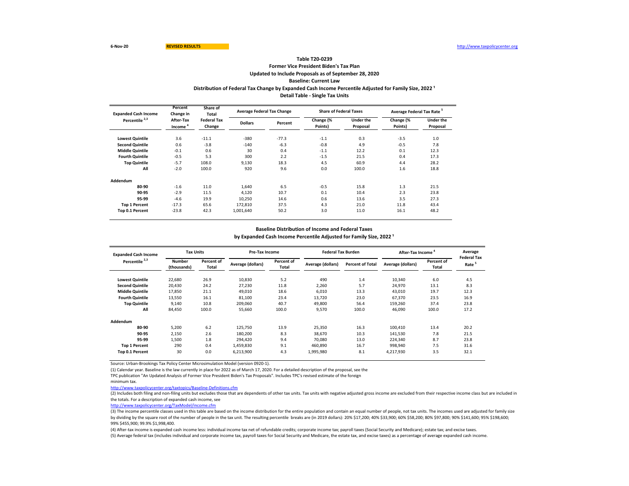# **Former Vice President Biden's Tax Plan Updated to Include Proposals as of September 28, 2020 Baseline: Current Law Table T20-0239** Distribution of Federal Tax Change by Expanded Cash Income Percentile Adjusted for Family Size, 2022<sup>1</sup> **Detail Table - Single Tax Units**

| <b>Expanded Cash Income</b> | Percent<br>Change in             | Share of<br>Total<br><b>Federal Tax</b><br>Change | <b>Average Federal Tax Change</b> |         | <b>Share of Federal Taxes</b> |                              | Average Federal Tax Rate <sup>5</sup> |                       |
|-----------------------------|----------------------------------|---------------------------------------------------|-----------------------------------|---------|-------------------------------|------------------------------|---------------------------------------|-----------------------|
| Percentile <sup>2,3</sup>   | After-Tax<br>Income <sup>-</sup> |                                                   | <b>Dollars</b>                    | Percent | Change (%<br>Points)          | <b>Under the</b><br>Proposal | Change (%<br>Points)                  | Under the<br>Proposal |
| <b>Lowest Quintile</b>      | 3.6                              | $-11.1$                                           | $-380$                            | $-77.3$ | $-1.1$                        | 0.3                          | $-3.5$                                | 1.0                   |
| <b>Second Quintile</b>      | 0.6                              | $-3.8$                                            | $-140$                            | $-6.3$  | $-0.8$                        | 4.9                          | $-0.5$                                | 7.8                   |
| <b>Middle Quintile</b>      | $-0.1$                           | 0.6                                               | 30                                | 0.4     | $-1.1$                        | 12.2                         | 0.1                                   | 12.3                  |
| <b>Fourth Quintile</b>      | $-0.5$                           | 5.3                                               | 300                               | 2.2     | $-1.5$                        | 21.5                         | 0.4                                   | 17.3                  |
| <b>Top Quintile</b>         | $-5.7$                           | 108.0                                             | 9,130                             | 18.3    | 4.5                           | 60.9                         | 4.4                                   | 28.2                  |
| All                         | $-2.0$                           | 100.0                                             | 920                               | 9.6     | 0.0                           | 100.0                        | 1.6                                   | 18.8                  |
| Addendum                    |                                  |                                                   |                                   |         |                               |                              |                                       |                       |
| 80-90                       | $-1.6$                           | 11.0                                              | 1.640                             | 6.5     | $-0.5$                        | 15.8                         | 1.3                                   | 21.5                  |
| 90-95                       | $-2.9$                           | 11.5                                              | 4.120                             | 10.7    | 0.1                           | 10.4                         | 2.3                                   | 23.8                  |
| 95-99                       | $-4.6$                           | 19.9                                              | 10,250                            | 14.6    | 0.6                           | 13.6                         | 3.5                                   | 27.3                  |
| <b>Top 1 Percent</b>        | $-17.3$                          | 65.6                                              | 172.810                           | 37.5    | 4.3                           | 21.0                         | 11.8                                  | 43.4                  |
| Top 0.1 Percent             | $-23.8$                          | 42.3                                              | 1,001,640                         | 50.2    | 3.0                           | 11.0                         | 16.1                                  | 48.2                  |

#### **Baseline Distribution of Income and Federal Taxes**

by Expanded Cash Income Percentile Adjusted for Family Size, 2022<sup>1</sup>

| <b>Expanded Cash Income</b> | <b>Tax Units</b>             |                     | Pre-Tax Income    |                     |                   | <b>Federal Tax Burden</b> |                   | After-Tax Income <sup>4</sup> |                                         |
|-----------------------------|------------------------------|---------------------|-------------------|---------------------|-------------------|---------------------------|-------------------|-------------------------------|-----------------------------------------|
| Percentile <sup>2,3</sup>   | <b>Number</b><br>(thousands) | Percent of<br>Total | Average (dollars) | Percent of<br>Total | Average (dollars) | <b>Percent of Total</b>   | Average (dollars) | Percent of<br>Total           | <b>Federal Tax</b><br>Rate <sup>5</sup> |
| <b>Lowest Quintile</b>      | 22,680                       | 26.9                | 10,830            | 5.2                 | 490               | 1.4                       | 10,340            | 6.0                           | 4.5                                     |
| <b>Second Quintile</b>      | 20,430                       | 24.2                | 27,230            | 11.8                | 2,260             | 5.7                       | 24,970            | 13.1                          | 8.3                                     |
| <b>Middle Quintile</b>      | 17,850                       | 21.1                | 49,010            | 18.6                | 6,010             | 13.3                      | 43,010            | 19.7                          | 12.3                                    |
| <b>Fourth Quintile</b>      | 13,550                       | 16.1                | 81,100            | 23.4                | 13,720            | 23.0                      | 67,370            | 23.5                          | 16.9                                    |
| <b>Top Quintile</b>         | 9,140                        | 10.8                | 209.060           | 40.7                | 49.800            | 56.4                      | 159,260           | 37.4                          | 23.8                                    |
| All                         | 84,450                       | 100.0               | 55,660            | 100.0               | 9,570             | 100.0                     | 46,090            | 100.0                         | 17.2                                    |
| Addendum                    |                              |                     |                   |                     |                   |                           |                   |                               |                                         |
| 80-90                       | 5,200                        | 6.2                 | 125.750           | 13.9                | 25.350            | 16.3                      | 100.410           | 13.4                          | 20.2                                    |
| 90-95                       | 2,150                        | 2.6                 | 180,200           | 8.3                 | 38.670            | 10.3                      | 141,530           | 7.8                           | 21.5                                    |
| 95-99                       | 1.500                        | 1.8                 | 294.420           | 9.4                 | 70.080            | 13.0                      | 224,340           | 8.7                           | 23.8                                    |
| <b>Top 1 Percent</b>        | 290                          | 0.4                 | 1,459,830         | 9.1                 | 460.890           | 16.7                      | 998,940           | 7.5                           | 31.6                                    |
| Top 0.1 Percent             | 30                           | 0.0                 | 6,213,900         | 4.3                 | 1,995,980         | 8.1                       | 4,217,930         | 3.5                           | 32.1                                    |

Source: Urban-Brookings Tax Policy Center Microsimulation Model (version 0920-1).

(1) Calendar year. Baseline is the law currently in place for 2022 as of March 17, 2020. For a detailed description of the proposal, see the

TPC publication "An Updated Analysis of Former Vice President Biden's Tax Proposals". Includes TPC's revised estimate of the foreign

minimum tax.

<http://www.taxpolicycenter.org/taxtopics/Baseline-Definitions.cfm>

(2) Includes both filing and non-filing units but excludes those that are dependents of other tax units. Tax units with negative adjusted gross income are excluded from their respective income class but are included in the totals. For a description of expanded cash income, see

[http://www.taxpolicycente](http://www.taxpolicycenter.org/TaxModel/income.cfm)r.org/TaxModel/income.cfm

(3) The income percentile classes used in this table are based on the income distribution for the entire population and contain an equal number of people, not tax units. The incomes used are adjusted for family size by dividing by the square root of the number of people in the tax unit. The resulting percentile breaks are (in 2019 dollars): 20% \$17,200; 40% \$33,900; 60% \$58,200; 80% \$97,800; 90% \$141,600; 95% \$198,600; 99% \$455,900; 99.9% \$1,998,400.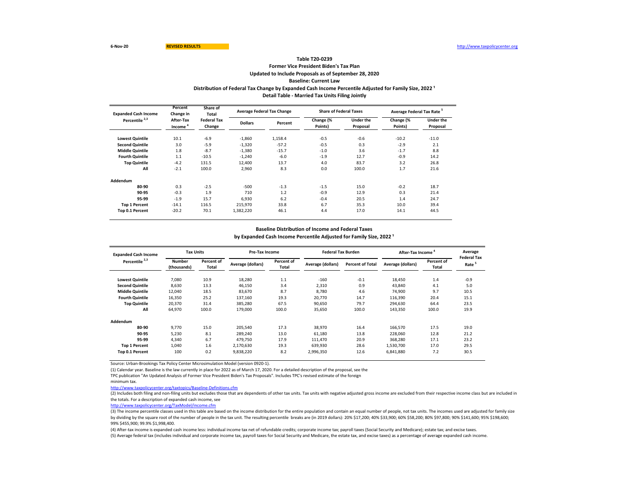# **Former Vice President Biden's Tax Plan Updated to Include Proposals as of September 28, 2020 Baseline: Current Law Table T20-0239** Distribution of Federal Tax Change by Expanded Cash Income Percentile Adjusted for Family Size, 2022<sup>1</sup> **Detail Table - Married Tax Units Filing Jointly**

| <b>Expanded Cash Income</b> | Percent<br>Change in | Share of<br>Total<br><b>Federal Tax</b><br>Change |                | <b>Average Federal Tax Change</b> | <b>Share of Federal Taxes</b> |                              | Average Federal Tax Rate <sup>5</sup> |                       |
|-----------------------------|----------------------|---------------------------------------------------|----------------|-----------------------------------|-------------------------------|------------------------------|---------------------------------------|-----------------------|
| Percentile <sup>2,3</sup>   | After-Tax<br>Income  |                                                   | <b>Dollars</b> | Percent                           | Change (%<br>Points)          | <b>Under the</b><br>Proposal | Change (%<br>Points)                  | Under the<br>Proposal |
| <b>Lowest Quintile</b>      | 10.1                 | $-6.9$                                            | $-1,860$       | 1,158.4                           | $-0.5$                        | $-0.6$                       | $-10.2$                               | $-11.0$               |
| <b>Second Quintile</b>      | 3.0                  | $-5.9$                                            | $-1,320$       | $-57.2$                           | $-0.5$                        | 0.3                          | $-2.9$                                | 2.1                   |
| <b>Middle Quintile</b>      | 1.8                  | $-8.7$                                            | $-1.380$       | $-15.7$                           | $-1.0$                        | 3.6                          | $-1.7$                                | 8.8                   |
| <b>Fourth Quintile</b>      | 1.1                  | $-10.5$                                           | $-1,240$       | $-6.0$                            | $-1.9$                        | 12.7                         | $-0.9$                                | 14.2                  |
| <b>Top Quintile</b>         | $-4.2$               | 131.5                                             | 12,400         | 13.7                              | 4.0                           | 83.7                         | 3.2                                   | 26.8                  |
| All                         | $-2.1$               | 100.0                                             | 2,960          | 8.3                               | 0.0                           | 100.0                        | 1.7                                   | 21.6                  |
| Addendum                    |                      |                                                   |                |                                   |                               |                              |                                       |                       |
| 80-90                       | 0.3                  | $-2.5$                                            | $-500$         | $-1.3$                            | $-1.5$                        | 15.0                         | $-0.2$                                | 18.7                  |
| 90-95                       | $-0.3$               | 1.9                                               | 710            | 1.2                               | $-0.9$                        | 12.9                         | 0.3                                   | 21.4                  |
| 95-99                       | $-1.9$               | 15.7                                              | 6.930          | 6.2                               | $-0.4$                        | 20.5                         | 1.4                                   | 24.7                  |
| <b>Top 1 Percent</b>        | $-14.1$              | 116.5                                             | 215.970        | 33.8                              | 6.7                           | 35.3                         | 10.0                                  | 39.4                  |
| Top 0.1 Percent             | $-20.2$              | 70.1                                              | 1,382,220      | 46.1                              | 4.4                           | 17.0                         | 14.1                                  | 44.5                  |

#### **Baseline Distribution of Income and Federal Taxes**

by Expanded Cash Income Percentile Adjusted for Family Size, 2022<sup>1</sup>

| <b>Expanded Cash Income</b> | <b>Tax Units</b>             |                     | Pre-Tax Income    |                     |                   | <b>Federal Tax Burden</b> |                   | After-Tax Income    |                                         |
|-----------------------------|------------------------------|---------------------|-------------------|---------------------|-------------------|---------------------------|-------------------|---------------------|-----------------------------------------|
| Percentile <sup>2,3</sup>   | <b>Number</b><br>(thousands) | Percent of<br>Total | Average (dollars) | Percent of<br>Total | Average (dollars) | <b>Percent of Total</b>   | Average (dollars) | Percent of<br>Total | <b>Federal Tax</b><br>Rate <sup>5</sup> |
| <b>Lowest Quintile</b>      | 7,080                        | 10.9                | 18,280            | 1.1                 | $-160$            | $-0.1$                    | 18,450            | 1.4                 | $-0.9$                                  |
| <b>Second Quintile</b>      | 8,630                        | 13.3                | 46,150            | 3.4                 | 2,310             | 0.9                       | 43,840            | 4.1                 | 5.0                                     |
| <b>Middle Quintile</b>      | 12,040                       | 18.5                | 83,670            | 8.7                 | 8,780             | 4.6                       | 74,900            | 9.7                 | 10.5                                    |
| <b>Fourth Quintile</b>      | 16,350                       | 25.2                | 137,160           | 19.3                | 20.770            | 14.7                      | 116,390           | 20.4                | 15.1                                    |
| <b>Top Quintile</b>         | 20,370                       | 31.4                | 385,280           | 67.5                | 90.650            | 79.7                      | 294,630           | 64.4                | 23.5                                    |
| All                         | 64,970                       | 100.0               | 179,000           | 100.0               | 35,650            | 100.0                     | 143,350           | 100.0               | 19.9                                    |
| Addendum                    |                              |                     |                   |                     |                   |                           |                   |                     |                                         |
| 80-90                       | 9.770                        | 15.0                | 205.540           | 17.3                | 38.970            | 16.4                      | 166,570           | 17.5                | 19.0                                    |
| 90-95                       | 5,230                        | 8.1                 | 289,240           | 13.0                | 61,180            | 13.8                      | 228,060           | 12.8                | 21.2                                    |
| 95-99                       | 4.340                        | 6.7                 | 479.750           | 17.9                | 111.470           | 20.9                      | 368,280           | 17.1                | 23.2                                    |
| <b>Top 1 Percent</b>        | 1.040                        | 1.6                 | 2,170,630         | 19.3                | 639.930           | 28.6                      | 1,530,700         | 17.0                | 29.5                                    |
| Top 0.1 Percent             | 100                          | 0.2                 | 9,838,220         | 8.2                 | 2,996,350         | 12.6                      | 6,841,880         | 7.2                 | 30.5                                    |

Source: Urban-Brookings Tax Policy Center Microsimulation Model (version 0920-1).

(1) Calendar year. Baseline is the law currently in place for 2022 as of March 17, 2020. For a detailed description of the proposal, see the

TPC publication "An Updated Analysis of Former Vice President Biden's Tax Proposals". Includes TPC's revised estimate of the foreign

minimum tax.

<http://www.taxpolicycenter.org/taxtopics/Baseline-Definitions.cfm>

(2) Includes both filing and non-filing units but excludes those that are dependents of other tax units. Tax units with negative adjusted gross income are excluded from their respective income class but are included in the totals. For a description of expanded cash income, see

[http://www.taxpolicycente](http://www.taxpolicycenter.org/TaxModel/income.cfm)r.org/TaxModel/income.cfm

(3) The income percentile classes used in this table are based on the income distribution for the entire population and contain an equal number of people, not tax units. The incomes used are adjusted for family size by dividing by the square root of the number of people in the tax unit. The resulting percentile breaks are (in 2019 dollars): 20% \$17,200; 40% \$33,900; 60% \$58,200; 80% \$97,800; 90% \$141,600; 95% \$198,600; 99% \$455,900; 99.9% \$1,998,400.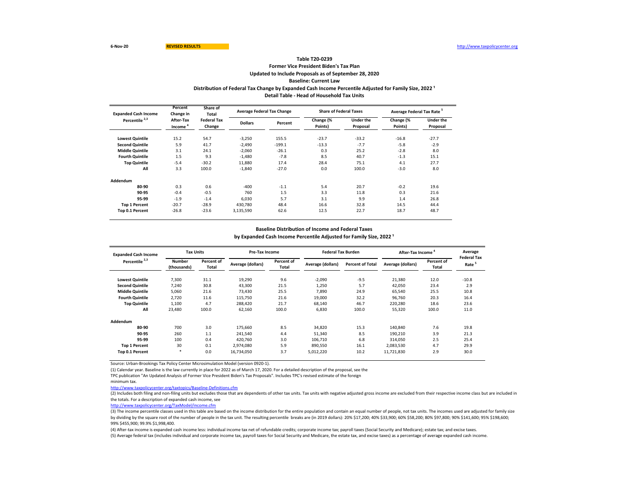# **Former Vice President Biden's Tax Plan Updated to Include Proposals as of September 28, 2020 Baseline: Current Law Table T20-0239** Distribution of Federal Tax Change by Expanded Cash Income Percentile Adjusted for Family Size, 2022<sup>1</sup> **Detail Table - Head of Household Tax Units**

| <b>Expanded Cash Income</b> | Percent<br>Change in | Share of<br>Total            |                | <b>Average Federal Tax Change</b> | <b>Share of Federal Taxes</b> |                              | Average Federal Tax Rate <sup>5</sup> |                              |
|-----------------------------|----------------------|------------------------------|----------------|-----------------------------------|-------------------------------|------------------------------|---------------------------------------|------------------------------|
| Percentile <sup>2,3</sup>   | After-Tax<br>Income  | <b>Federal Tax</b><br>Change | <b>Dollars</b> | Percent                           | Change (%<br>Points)          | <b>Under the</b><br>Proposal | Change (%<br>Points)                  | <b>Under the</b><br>Proposal |
| <b>Lowest Quintile</b>      | 15.2                 | 54.7                         | $-3,250$       | 155.5                             | $-23.7$                       | $-33.2$                      | $-16.8$                               | $-27.7$                      |
| <b>Second Quintile</b>      | 5.9                  | 41.7                         | $-2.490$       | $-199.1$                          | $-13.3$                       | $-7.7$                       | $-5.8$                                | $-2.9$                       |
| <b>Middle Quintile</b>      | 3.1                  | 24.1                         | $-2,060$       | $-26.1$                           | 0.3                           | 25.2                         | $-2.8$                                | 8.0                          |
| <b>Fourth Quintile</b>      | 1.5                  | 9.3                          | $-1.480$       | $-7.8$                            | 8.5                           | 40.7                         | $-1.3$                                | 15.1                         |
| <b>Top Quintile</b>         | $-5.4$               | $-30.2$                      | 11.880         | 17.4                              | 28.4                          | 75.1                         | 4.1                                   | 27.7                         |
| All                         | 3.3                  | 100.0                        | $-1,840$       | $-27.0$                           | 0.0                           | 100.0                        | $-3.0$                                | 8.0                          |
| Addendum                    |                      |                              |                |                                   |                               |                              |                                       |                              |
| 80-90                       | 0.3                  | 0.6                          | $-400$         | $-1.1$                            | 5.4                           | 20.7                         | $-0.2$                                | 19.6                         |
| 90-95                       | $-0.4$               | $-0.5$                       | 760            | 1.5                               | 3.3                           | 11.8                         | 0.3                                   | 21.6                         |
| 95-99                       | $-1.9$               | $-1.4$                       | 6.030          | 5.7                               | 3.1                           | 9.9                          | 1.4                                   | 26.8                         |
| <b>Top 1 Percent</b>        | $-20.7$              | $-28.9$                      | 430.780        | 48.4                              | 16.6                          | 32.8                         | 14.5                                  | 44.4                         |
| Top 0.1 Percent             | $-26.8$              | $-23.6$                      | 3,135,590      | 62.6                              | 12.5                          | 22.7                         | 18.7                                  | 48.7                         |

#### **Baseline Distribution of Income and Federal Taxes**

by Expanded Cash Income Percentile Adjusted for Family Size, 2022<sup>1</sup>

| <b>Expanded Cash Income</b> | <b>Tax Units</b>             |                     | Pre-Tax Income    |                     |                   | <b>Federal Tax Burden</b> |                   | After-Tax Income    |                                         |
|-----------------------------|------------------------------|---------------------|-------------------|---------------------|-------------------|---------------------------|-------------------|---------------------|-----------------------------------------|
| Percentile <sup>2,3</sup>   | <b>Number</b><br>(thousands) | Percent of<br>Total | Average (dollars) | Percent of<br>Total | Average (dollars) | <b>Percent of Total</b>   | Average (dollars) | Percent of<br>Total | <b>Federal Tax</b><br>Rate <sup>5</sup> |
| <b>Lowest Quintile</b>      | 7,300                        | 31.1                | 19,290            | 9.6                 | $-2,090$          | $-9.5$                    | 21,380            | 12.0                | $-10.8$                                 |
| <b>Second Quintile</b>      | 7,240                        | 30.8                | 43,300            | 21.5                | 1,250             | 5.7                       | 42,050            | 23.4                | 2.9                                     |
| <b>Middle Quintile</b>      | 5,060                        | 21.6                | 73,430            | 25.5                | 7,890             | 24.9                      | 65,540            | 25.5                | 10.8                                    |
| <b>Fourth Quintile</b>      | 2,720                        | 11.6                | 115,750           | 21.6                | 19,000            | 32.2                      | 96,760            | 20.3                | 16.4                                    |
| <b>Top Quintile</b>         | 1,100                        | 4.7                 | 288.420           | 21.7                | 68.140            | 46.7                      | 220,280           | 18.6                | 23.6                                    |
| All                         | 23,480                       | 100.0               | 62,160            | 100.0               | 6,830             | 100.0                     | 55,320            | 100.0               | 11.0                                    |
| Addendum                    |                              |                     |                   |                     |                   |                           |                   |                     |                                         |
| 80-90                       | 700                          | 3.0                 | 175.660           | 8.5                 | 34.820            | 15.3                      | 140.840           | 7.6                 | 19.8                                    |
| 90-95                       | 260                          | $1.1$               | 241,540           | 4.4                 | 51,340            | 8.5                       | 190,210           | 3.9                 | 21.3                                    |
| 95-99                       | 100                          | 0.4                 | 420.760           | 3.0                 | 106.710           | 6.8                       | 314,050           | 2.5                 | 25.4                                    |
| <b>Top 1 Percent</b>        | 30                           | 0.1                 | 2,974,080         | 5.9                 | 890,550           | 16.1                      | 2,083,530         | 4.7                 | 29.9                                    |
| Top 0.1 Percent             | $\star$                      | 0.0                 | 16,734,050        | 3.7                 | 5,012,220         | 10.2                      | 11,721,830        | 2.9                 | 30.0                                    |

Source: Urban-Brookings Tax Policy Center Microsimulation Model (version 0920-1).

(1) Calendar year. Baseline is the law currently in place for 2022 as of March 17, 2020. For a detailed description of the proposal, see the

TPC publication "An Updated Analysis of Former Vice President Biden's Tax Proposals". Includes TPC's revised estimate of the foreign

minimum tax.

<http://www.taxpolicycenter.org/taxtopics/Baseline-Definitions.cfm>

(2) Includes both filing and non-filing units but excludes those that are dependents of other tax units. Tax units with negative adjusted gross income are excluded from their respective income class but are included in the totals. For a description of expanded cash income, see

[http://www.taxpolicycente](http://www.taxpolicycenter.org/TaxModel/income.cfm)r.org/TaxModel/income.cfm

(3) The income percentile classes used in this table are based on the income distribution for the entire population and contain an equal number of people, not tax units. The incomes used are adjusted for family size by dividing by the square root of the number of people in the tax unit. The resulting percentile breaks are (in 2019 dollars): 20% \$17,200; 40% \$33,900; 60% \$58,200; 80% \$97,800; 90% \$141,600; 95% \$198,600; 99% \$455,900; 99.9% \$1,998,400.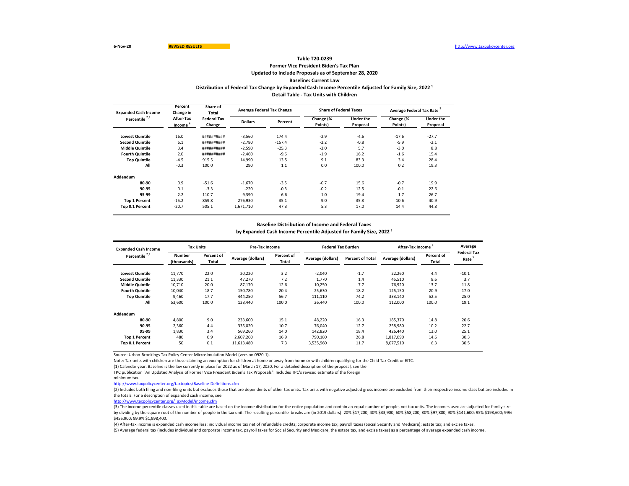## **Former Vice President Biden's Tax Plan Updated to Include Proposals as of September 28, 2020 Baseline: Current Law Table T20-0239 Distribution of Federal Tax Change by Expanded Cash Income Percentile Adjusted for Family Size, 2022 ¹ Detail Table - Tax Units with Children**

| <b>Expanded Cash Income</b> | Percent<br>Change in             | Share of<br>Total            |                | <b>Average Federal Tax Change</b> | <b>Share of Federal Taxes</b> |                              | Average Federal Tax Rate <sup>5</sup> |                              |  |
|-----------------------------|----------------------------------|------------------------------|----------------|-----------------------------------|-------------------------------|------------------------------|---------------------------------------|------------------------------|--|
| Percentile <sup>2,3</sup>   | After-Tax<br>Income <sup>4</sup> | <b>Federal Tax</b><br>Change | <b>Dollars</b> | Percent                           | Change (%<br>Points)          | <b>Under the</b><br>Proposal | Change (%<br>Points)                  | <b>Under the</b><br>Proposal |  |
| <b>Lowest Quintile</b>      | 16.0                             | ##########                   | $-3,560$       | 174.4                             | $-2.9$                        | $-4.6$                       | $-17.6$                               | $-27.7$                      |  |
| <b>Second Quintile</b>      | 6.1                              | ##########                   | $-2.780$       | $-157.4$                          | $-2.2$                        | $-0.8$                       | $-5.9$                                | $-2.1$                       |  |
| <b>Middle Quintile</b>      | 3.4                              | ##########                   | $-2,590$       | $-25.3$                           | $-2.0$                        | 5.7                          | $-3.0$                                | 8.8                          |  |
| <b>Fourth Quintile</b>      | 2.0                              | ##########                   | $-2,460$       | $-9.6$                            | $-1.9$                        | 16.2                         | $-1.6$                                | 15.4                         |  |
| <b>Top Quintile</b>         | $-4.5$                           | 915.5                        | 14,990         | 13.5                              | 9.1                           | 83.3                         | 3.4                                   | 28.4                         |  |
| All                         | $-0.3$                           | 100.0                        | 290            | 1.1                               | 0.0                           | 100.0                        | 0.2                                   | 19.3                         |  |
| Addendum                    |                                  |                              |                |                                   |                               |                              |                                       |                              |  |
| 80-90                       | 0.9                              | $-51.6$                      | $-1.670$       | $-3.5$                            | $-0.7$                        | 15.6                         | $-0.7$                                | 19.9                         |  |
| 90-95                       | 0.1                              | $-3.3$                       | $-220$         | $-0.3$                            | $-0.2$                        | 12.5                         | $-0.1$                                | 22.6                         |  |
| 95-99                       | $-2.2$                           | 110.7                        | 9.390          | 6.6                               | 1.0                           | 19.4                         | 1.7                                   | 26.7                         |  |
| <b>Top 1 Percent</b>        | $-15.2$                          | 859.8                        | 276.930        | 35.1                              | 9.0                           | 35.8                         | 10.6                                  | 40.9                         |  |
| Top 0.1 Percent             | $-20.7$                          | 505.1                        | 1,671,710      | 47.3                              | 5.3                           | 17.0                         | 14.4                                  | 44.8                         |  |

#### **Baseline Distribution of Income and Federal Taxes** by Expanded Cash Income Percentile Adjusted for Family Size, 2022<sup>1</sup>

| <b>Expanded Cash Income</b><br>Percentile <sup>2,3</sup> | <b>Tax Units</b>             |                     | Pre-Tax Income    |                     | <b>Federal Tax Burden</b> |                         | After-Tax Income <sup>4</sup> |                     | Average                    |
|----------------------------------------------------------|------------------------------|---------------------|-------------------|---------------------|---------------------------|-------------------------|-------------------------------|---------------------|----------------------------|
|                                                          | <b>Number</b><br>(thousands) | Percent of<br>Total | Average (dollars) | Percent of<br>Total | Average (dollars)         | <b>Percent of Total</b> | Average (dollars)             | Percent of<br>Total | <b>Federal Tax</b><br>Rate |
| <b>Lowest Quintile</b>                                   | 11,770                       | 22.0                | 20,220            | 3.2                 | $-2,040$                  | $-1.7$                  | 22,260                        | 4.4                 | $-10.1$                    |
| <b>Second Quintile</b>                                   | 11,330                       | 21.1                | 47,270            | 7.2                 | 1.770                     | 1.4                     | 45,510                        | 8.6                 | 3.7                        |
| <b>Middle Quintile</b>                                   | 10,710                       | 20.0                | 87,170            | 12.6                | 10,250                    | 7.7                     | 76,920                        | 13.7                | 11.8                       |
| <b>Fourth Quintile</b>                                   | 10.040                       | 18.7                | 150.780           | 20.4                | 25.630                    | 18.2                    | 125,150                       | 20.9                | 17.0                       |
| <b>Top Quintile</b>                                      | 9.460                        | 17.7                | 444.250           | 56.7                | 111.110                   | 74.2                    | 333,140                       | 52.5                | 25.0                       |
| All                                                      | 53,600                       | 100.0               | 138.440           | 100.0               | 26.440                    | 100.0                   | 112,000                       | 100.0               | 19.1                       |
| Addendum                                                 |                              |                     |                   |                     |                           |                         |                               |                     |                            |
| 80-90                                                    | 4.800                        | 9.0                 | 233,600           | 15.1                | 48,220                    | 16.3                    | 185,370                       | 14.8                | 20.6                       |
| 90-95                                                    | 2,360                        | 4.4                 | 335,020           | 10.7                | 76.040                    | 12.7                    | 258,980                       | 10.2                | 22.7                       |
| 95-99                                                    | 1,830                        | 3.4                 | 569,260           | 14.0                | 142,820                   | 18.4                    | 426.440                       | 13.0                | 25.1                       |
| <b>Top 1 Percent</b>                                     | 480                          | 0.9                 | 2,607,260         | 16.9                | 790,180                   | 26.8                    | 1,817,090                     | 14.6                | 30.3                       |
| Top 0.1 Percent                                          | 50                           | 0.1                 | 11,613,480        | 7.3                 | 3,535,960                 | 11.7                    | 8,077,510                     | 6.3                 | 30.5                       |

Source: Urban-Brookings Tax Policy Center Microsimulation Model (version 0920-1).

Note: Tax units with children are those claiming an exemption for children at home or away from home or with children qualifying for the Child Tax Credit or EITC.

(1) Calendar year. Baseline is the law currently in place for 2022 as of March 17, 2020. For a detailed description of the proposal, see the

TPC publication "An Updated Analysis of Former Vice President Biden's Tax Proposals". Includes TPC's revised estimate of the foreign

<http://www.taxpolicycenter.org/taxtopics/Baseline-Definitions.cfm>

(2) Includes both filing and non-filing units but excludes those that are dependents of other tax units. Tax units with negative adjusted gross income are excluded from their respective income class but are included in the totals. For a description of expanded cash income, see

[http://www.taxpolicycente](http://www.taxpolicycenter.org/TaxModel/income.cfm)r.org/TaxModel/income.cfm

(3) The income percentile classes used in this table are based on the income distribution for the entire population and contain an equal number of people, not tax units. The incomes used are adjusted for family size by dividing by the square root of the number of people in the tax unit. The resulting percentile breaks are (in 2019 dollars): 20% \$17,200; 40% \$33,900; 60% \$58,200; 80% \$97,800; 90% \$141,600; 95% \$198,600; 99% \$455,900; 99.9% \$1,998,400.

minimum tax.